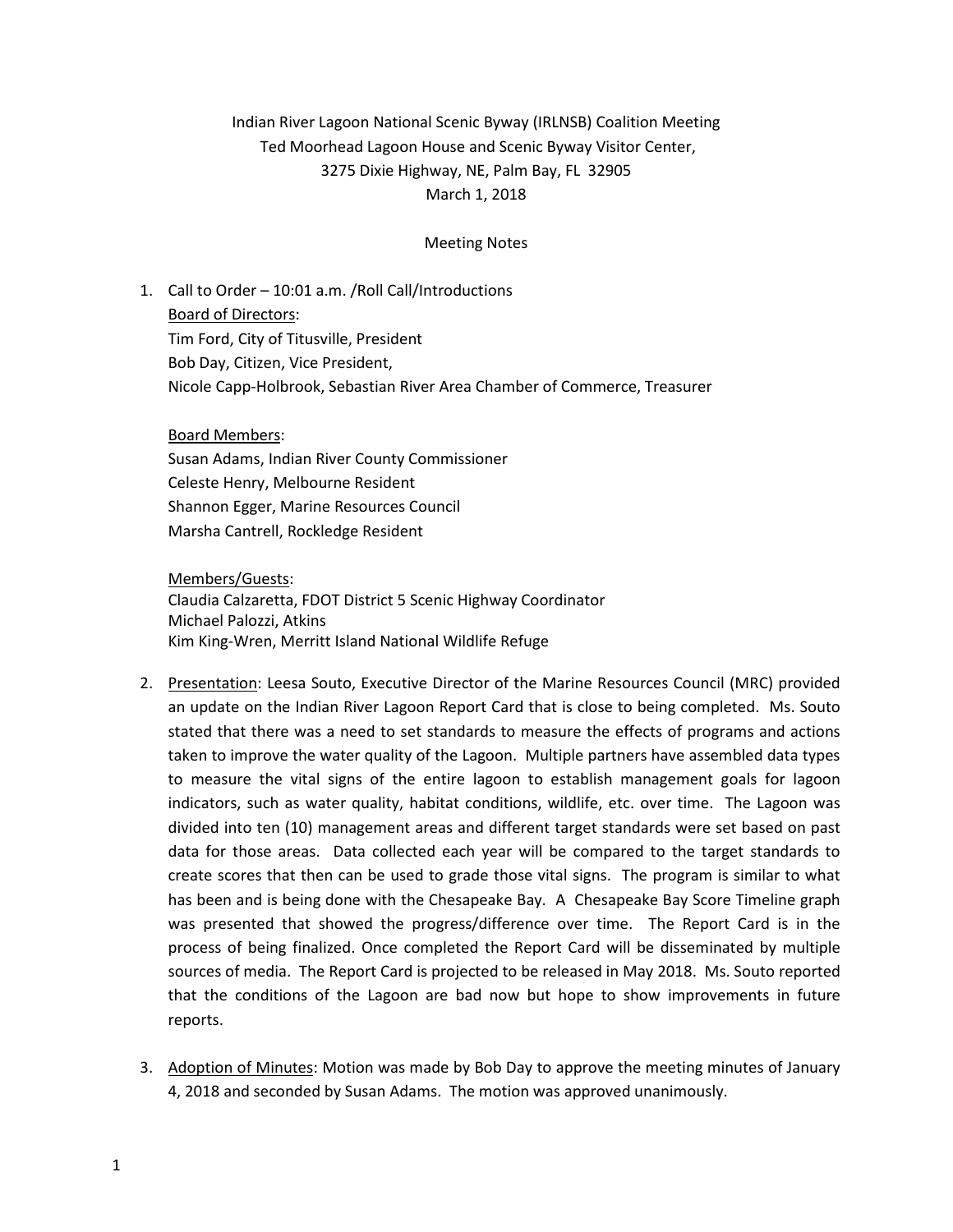## Indian River Lagoon National Scenic Byway (IRLNSB) Coalition Meeting Ted Moorhead Lagoon House and Scenic Byway Visitor Center, 3275 Dixie Highway, NE, Palm Bay, FL 32905 March 1, 2018

## Meeting Notes

1. Call to Order – 10:01 a.m. /Roll Call/Introductions Board of Directors: Tim Ford, City of Titusville, President Bob Day, Citizen, Vice President, Nicole Capp-Holbrook, Sebastian River Area Chamber of Commerce, Treasurer

## Board Members:

Susan Adams, Indian River County Commissioner Celeste Henry, Melbourne Resident Shannon Egger, Marine Resources Council Marsha Cantrell, Rockledge Resident

Members/Guests:

Claudia Calzaretta, FDOT District 5 Scenic Highway Coordinator Michael Palozzi, Atkins Kim King-Wren, Merritt Island National Wildlife Refuge

- 2. Presentation: Leesa Souto, Executive Director of the Marine Resources Council (MRC) provided an update on the Indian River Lagoon Report Card that is close to being completed. Ms. Souto stated that there was a need to set standards to measure the effects of programs and actions taken to improve the water quality of the Lagoon. Multiple partners have assembled data types to measure the vital signs of the entire lagoon to establish management goals for lagoon indicators, such as water quality, habitat conditions, wildlife, etc. over time. The Lagoon was divided into ten (10) management areas and different target standards were set based on past data for those areas. Data collected each year will be compared to the target standards to create scores that then can be used to grade those vital signs. The program is similar to what has been and is being done with the Chesapeake Bay. A Chesapeake Bay Score Timeline graph was presented that showed the progress/difference over time. The Report Card is in the process of being finalized. Once completed the Report Card will be disseminated by multiple sources of media. The Report Card is projected to be released in May 2018. Ms. Souto reported that the conditions of the Lagoon are bad now but hope to show improvements in future reports.
- 3. Adoption of Minutes: Motion was made by Bob Day to approve the meeting minutes of January 4, 2018 and seconded by Susan Adams. The motion was approved unanimously.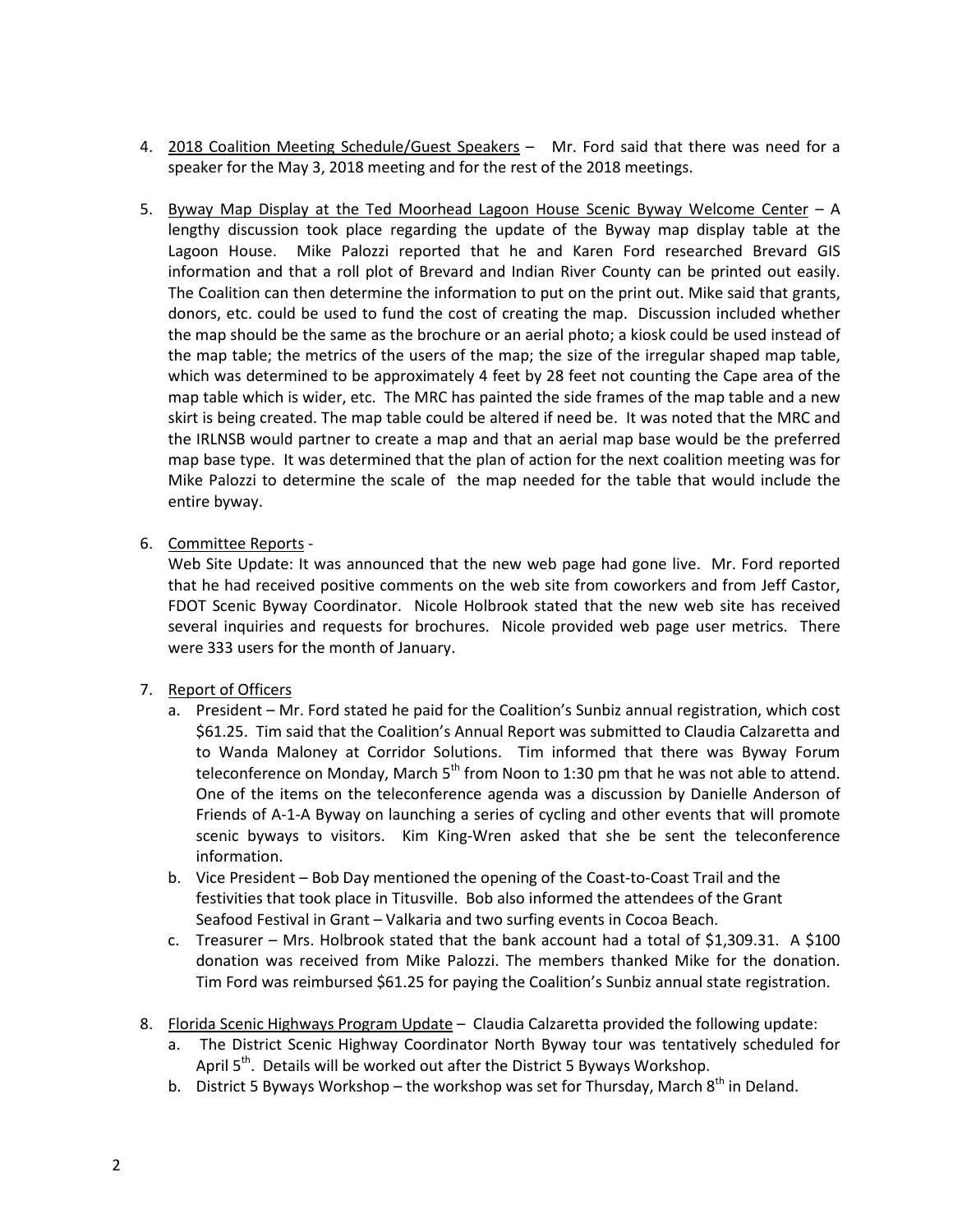- 4. 2018 Coalition Meeting Schedule/Guest Speakers Mr. Ford said that there was need for a speaker for the May 3, 2018 meeting and for the rest of the 2018 meetings.
- 5. Byway Map Display at the Ted Moorhead Lagoon House Scenic Byway Welcome Center A lengthy discussion took place regarding the update of the Byway map display table at the Lagoon House. Mike Palozzi reported that he and Karen Ford researched Brevard GIS information and that a roll plot of Brevard and Indian River County can be printed out easily. The Coalition can then determine the information to put on the print out. Mike said that grants, donors, etc. could be used to fund the cost of creating the map. Discussion included whether the map should be the same as the brochure or an aerial photo; a kiosk could be used instead of the map table; the metrics of the users of the map; the size of the irregular shaped map table, which was determined to be approximately 4 feet by 28 feet not counting the Cape area of the map table which is wider, etc. The MRC has painted the side frames of the map table and a new skirt is being created. The map table could be altered if need be. It was noted that the MRC and the IRLNSB would partner to create a map and that an aerial map base would be the preferred map base type. It was determined that the plan of action for the next coalition meeting was for Mike Palozzi to determine the scale of the map needed for the table that would include the entire byway.
- 6. Committee Reports -

Web Site Update: It was announced that the new web page had gone live. Mr. Ford reported that he had received positive comments on the web site from coworkers and from Jeff Castor, FDOT Scenic Byway Coordinator. Nicole Holbrook stated that the new web site has received several inquiries and requests for brochures. Nicole provided web page user metrics. There were 333 users for the month of January.

- 7. Report of Officers
	- a. President Mr. Ford stated he paid for the Coalition's Sunbiz annual registration, which cost \$61.25. Tim said that the Coalition's Annual Report was submitted to Claudia Calzaretta and to Wanda Maloney at Corridor Solutions. Tim informed that there was Byway Forum teleconference on Monday, March  $5<sup>th</sup>$  from Noon to 1:30 pm that he was not able to attend. One of the items on the teleconference agenda was a discussion by Danielle Anderson of Friends of A-1-A Byway on launching a series of cycling and other events that will promote scenic byways to visitors. Kim King-Wren asked that she be sent the teleconference information.
	- b. Vice President Bob Day mentioned the opening of the Coast-to-Coast Trail and the festivities that took place in Titusville. Bob also informed the attendees of the Grant Seafood Festival in Grant – Valkaria and two surfing events in Cocoa Beach.
	- c. Treasurer Mrs. Holbrook stated that the bank account had a total of \$1,309.31. A \$100 donation was received from Mike Palozzi. The members thanked Mike for the donation. Tim Ford was reimbursed \$61.25 for paying the Coalition's Sunbiz annual state registration.
- 8. Florida Scenic Highways Program Update Claudia Calzaretta provided the following update:
	- a. The District Scenic Highway Coordinator North Byway tour was tentatively scheduled for April 5<sup>th</sup>. Details will be worked out after the District 5 Byways Workshop.
	- b. District 5 Byways Workshop the workshop was set for Thursday, March  $8^{th}$  in Deland.